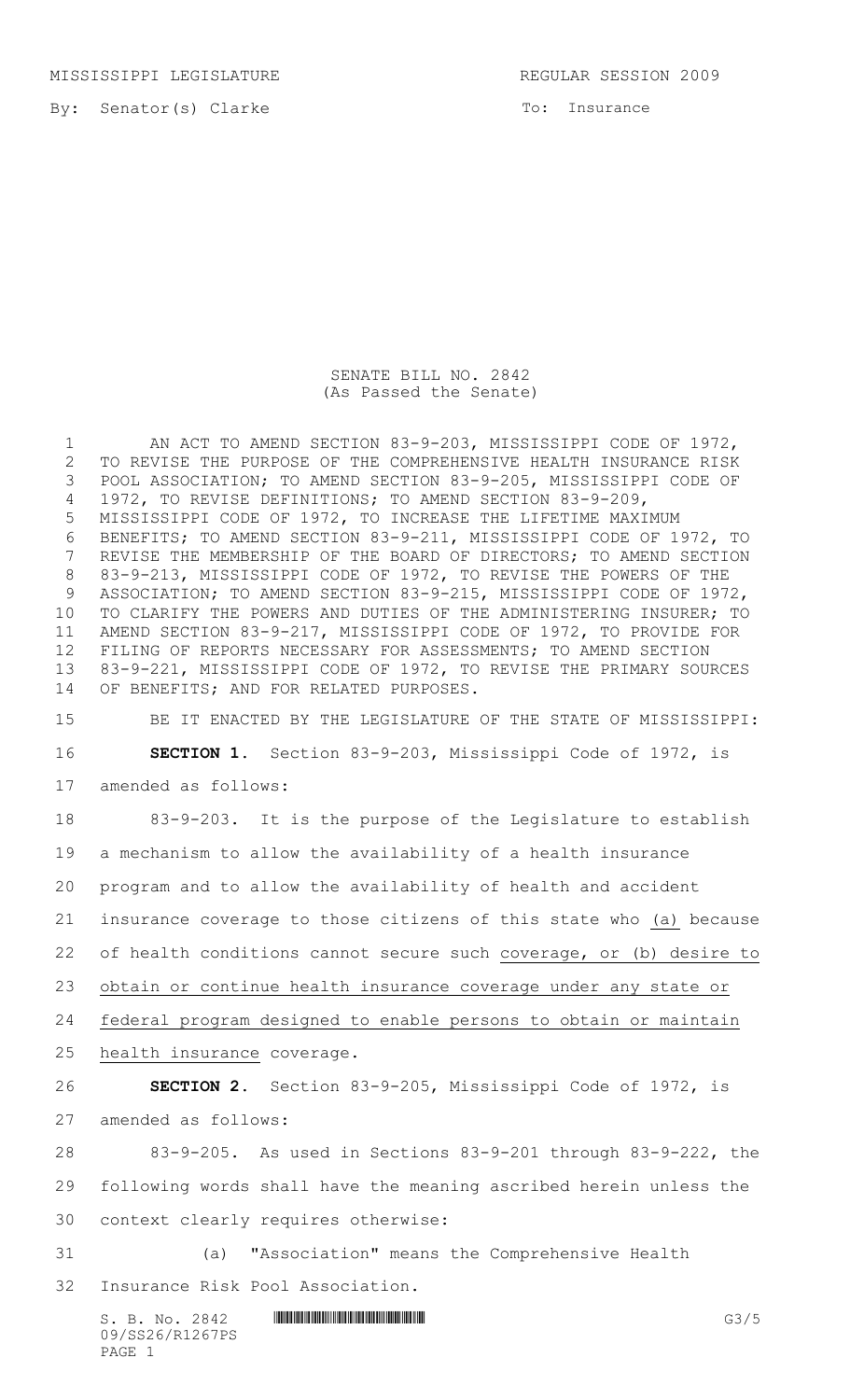MISSISSIPPI LEGISLATURE REGULAR SESSION 2009

To: Insurance

SENATE BILL NO. 2842 (As Passed the Senate)

1 AN ACT TO AMEND SECTION 83-9-203, MISSISSIPPI CODE OF 1972, TO REVISE THE PURPOSE OF THE COMPREHENSIVE HEALTH INSURANCE RISK POOL ASSOCIATION; TO AMEND SECTION 83-9-205, MISSISSIPPI CODE OF 1972, TO REVISE DEFINITIONS; TO AMEND SECTION 83-9-209, MISSISSIPPI CODE OF 1972, TO INCREASE THE LIFETIME MAXIMUM BENEFITS; TO AMEND SECTION 83-9-211, MISSISSIPPI CODE OF 1972, TO REVISE THE MEMBERSHIP OF THE BOARD OF DIRECTORS; TO AMEND SECTION 83-9-213, MISSISSIPPI CODE OF 1972, TO REVISE THE POWERS OF THE ASSOCIATION; TO AMEND SECTION 83-9-215, MISSISSIPPI CODE OF 1972, TO CLARIFY THE POWERS AND DUTIES OF THE ADMINISTERING INSURER; TO AMEND SECTION 83-9-217, MISSISSIPPI CODE OF 1972, TO PROVIDE FOR FILING OF REPORTS NECESSARY FOR ASSESSMENTS; TO AMEND SECTION 83-9-221, MISSISSIPPI CODE OF 1972, TO REVISE THE PRIMARY SOURCES OF BENEFITS; AND FOR RELATED PURPOSES.

 BE IT ENACTED BY THE LEGISLATURE OF THE STATE OF MISSISSIPPI: **SECTION 1.** Section 83-9-203, Mississippi Code of 1972, is

amended as follows:

 83-9-203. It is the purpose of the Legislature to establish a mechanism to allow the availability of a health insurance program and to allow the availability of health and accident insurance coverage to those citizens of this state who (a) because of health conditions cannot secure such coverage, or (b) desire to obtain or continue health insurance coverage under any state or federal program designed to enable persons to obtain or maintain health insurance coverage. **SECTION 2.** Section 83-9-205, Mississippi Code of 1972, is amended as follows:

 83-9-205. As used in Sections 83-9-201 through 83-9-222, the following words shall have the meaning ascribed herein unless the context clearly requires otherwise:

 (a) "Association" means the Comprehensive Health Insurance Risk Pool Association.

 $S. B. NO. 2842$  \*SHenry G3/5 09/SS26/R1267PS PAGE 1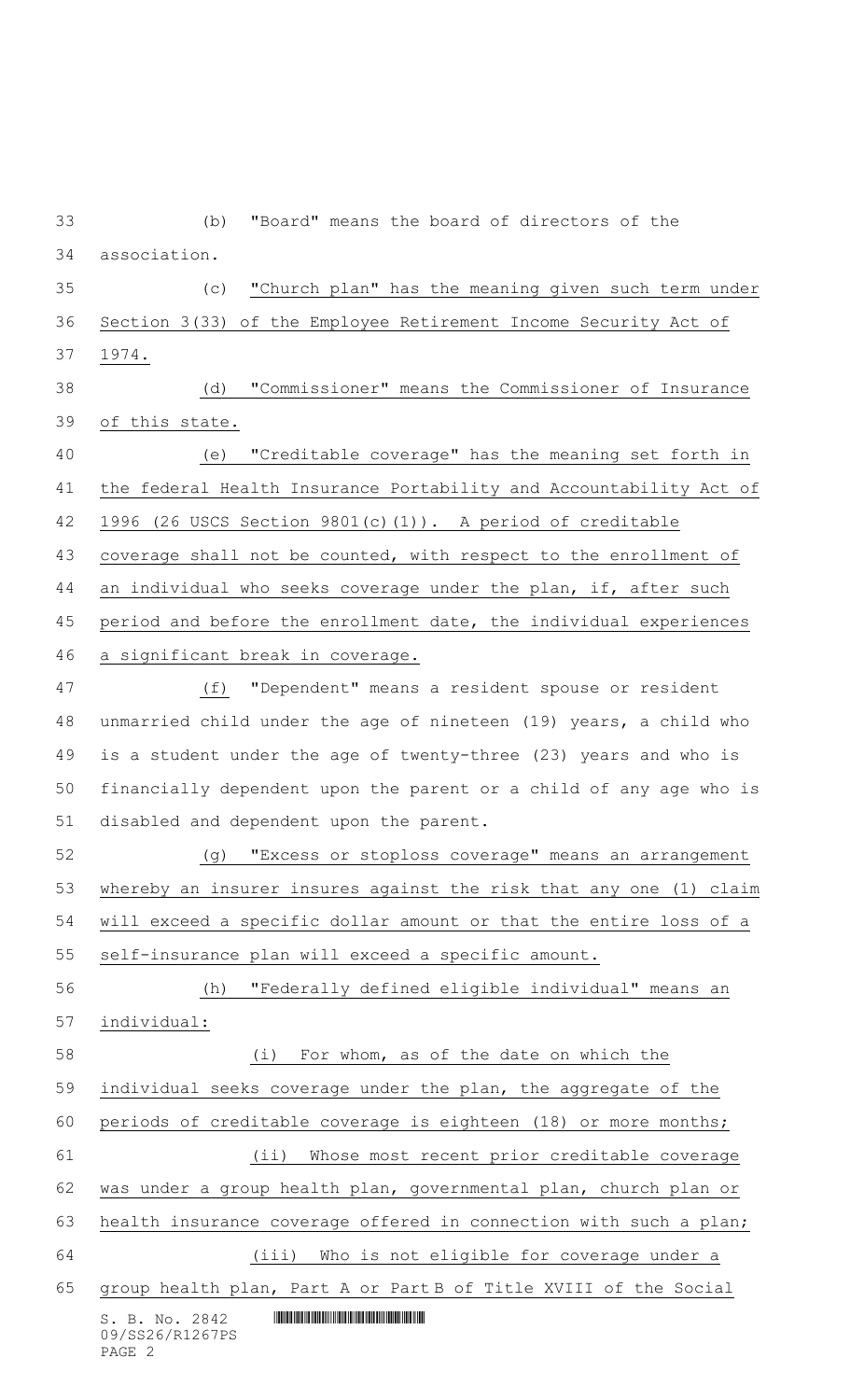| 33 | "Board" means the board of directors of the<br>(b)                                                                                                                  |
|----|---------------------------------------------------------------------------------------------------------------------------------------------------------------------|
| 34 | association.                                                                                                                                                        |
| 35 | "Church plan" has the meaning given such term under<br>(c)                                                                                                          |
| 36 | Section 3(33) of the Employee Retirement Income Security Act of                                                                                                     |
| 37 | 1974.                                                                                                                                                               |
| 38 | "Commissioner" means the Commissioner of Insurance<br>(d)                                                                                                           |
| 39 | of this state.                                                                                                                                                      |
| 40 | "Creditable coverage" has the meaning set forth in<br>(e)                                                                                                           |
| 41 | the federal Health Insurance Portability and Accountability Act of                                                                                                  |
| 42 | $(26$ USCS Section 9801 $(c)$ (1)). A period of creditable<br>1996                                                                                                  |
| 43 | coverage shall not be counted, with respect to the enrollment of                                                                                                    |
| 44 | an individual who seeks coverage under the plan, if, after such                                                                                                     |
| 45 | period and before the enrollment date, the individual experiences                                                                                                   |
| 46 | a significant break in coverage.                                                                                                                                    |
| 47 | "Dependent" means a resident spouse or resident<br>(f)                                                                                                              |
| 48 | unmarried child under the age of nineteen (19) years, a child who                                                                                                   |
| 49 | is a student under the age of twenty-three (23) years and who is                                                                                                    |
| 50 | financially dependent upon the parent or a child of any age who is                                                                                                  |
| 51 | disabled and dependent upon the parent.                                                                                                                             |
| 52 | "Excess or stoploss coverage" means an arrangement<br>(g)                                                                                                           |
| 53 | whereby an insurer insures against the risk that any one (1) claim                                                                                                  |
| 54 | will exceed a specific dollar amount or that the entire loss of a                                                                                                   |
| 55 | self-insurance plan will exceed a specific amount.                                                                                                                  |
| 56 | "Federally defined eligible individual" means an<br>(h)                                                                                                             |
| 57 | individual:                                                                                                                                                         |
| 58 | For whom, as of the date on which the<br>(i)                                                                                                                        |
| 59 | individual seeks coverage under the plan, the aggregate of the                                                                                                      |
| 60 | periods of creditable coverage is eighteen (18) or more months;                                                                                                     |
| 61 | $(i$ i)<br>Whose most recent prior creditable coverage                                                                                                              |
| 62 | was under a group health plan, governmental plan, church plan or                                                                                                    |
| 63 | health insurance coverage offered in connection with such a plan;                                                                                                   |
| 64 | (iii)<br>Who is not eligible for coverage under a                                                                                                                   |
| 65 | group health plan, Part A or Part B of Title XVIII of the Social                                                                                                    |
|    | <u> III dheer ah isaac isaac isaac isaac isaac isaac isaac isaac isaac isaac isaac isaac isaac isaac isaac isaac</u><br>S. B. No. 2842<br>09/SS26/R1267PS<br>PAGE 2 |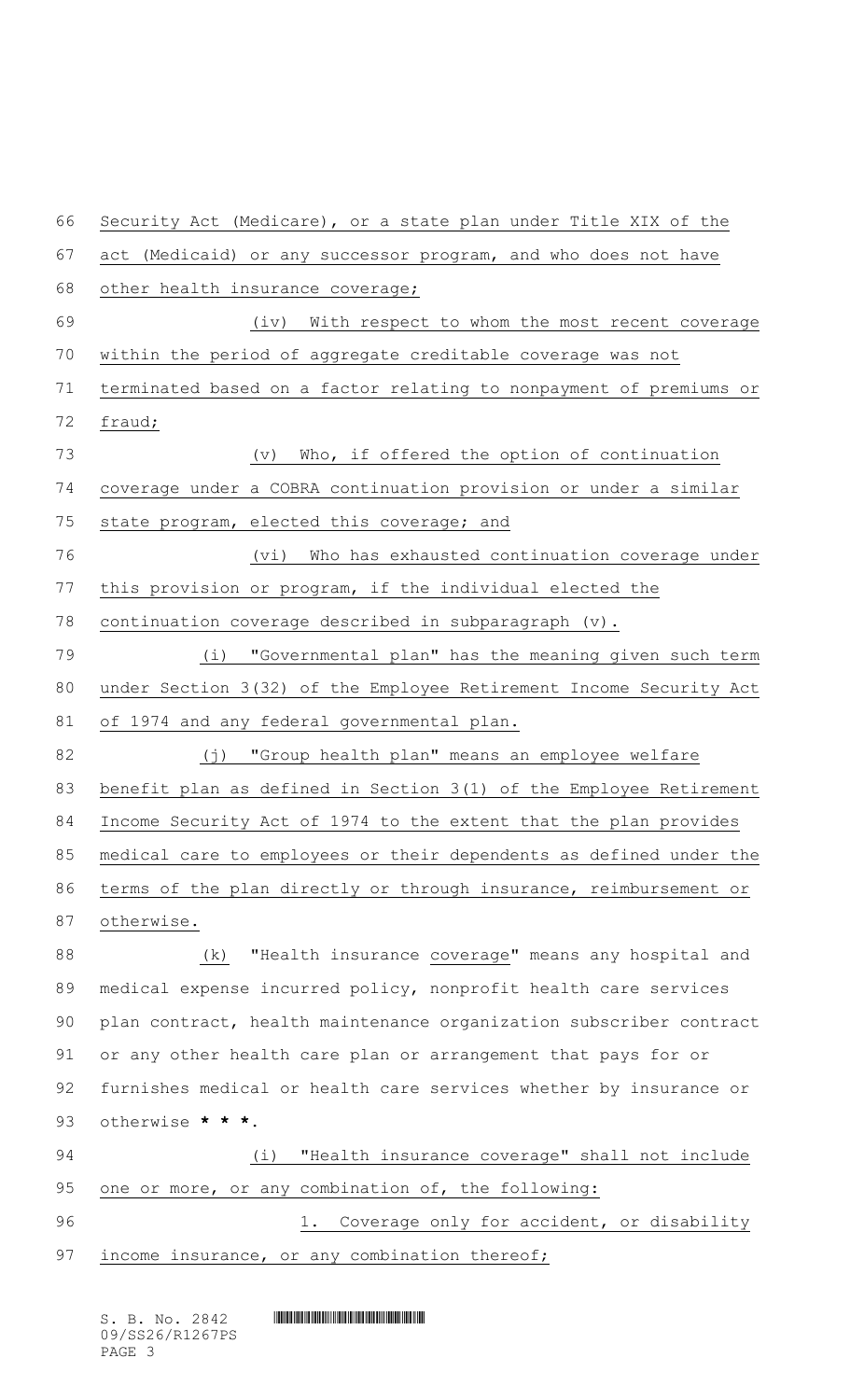Security Act (Medicare), or a state plan under Title XIX of the act (Medicaid) or any successor program, and who does not have 68 other health insurance coverage; 69 (iv) With respect to whom the most recent coverage within the period of aggregate creditable coverage was not terminated based on a factor relating to nonpayment of premiums or fraud; (v) Who, if offered the option of continuation coverage under a COBRA continuation provision or under a similar state program, elected this coverage; and 76 (vi) Who has exhausted continuation coverage under this provision or program, if the individual elected the continuation coverage described in subparagraph (v). (i) "Governmental plan" has the meaning given such term under Section 3(32) of the Employee Retirement Income Security Act of 1974 and any federal governmental plan. 82 (j) "Group health plan" means an employee welfare 83 benefit plan as defined in Section 3(1) of the Employee Retirement Income Security Act of 1974 to the extent that the plan provides medical care to employees or their dependents as defined under the terms of the plan directly or through insurance, reimbursement or otherwise. (k) "Health insurance coverage" means any hospital and medical expense incurred policy, nonprofit health care services plan contract, health maintenance organization subscriber contract or any other health care plan or arrangement that pays for or furnishes medical or health care services whether by insurance or otherwise **\* \* \*.** (i) "Health insurance coverage" shall not include one or more, or any combination of, the following: 1. Coverage only for accident, or disability 97 income insurance, or any combination thereof;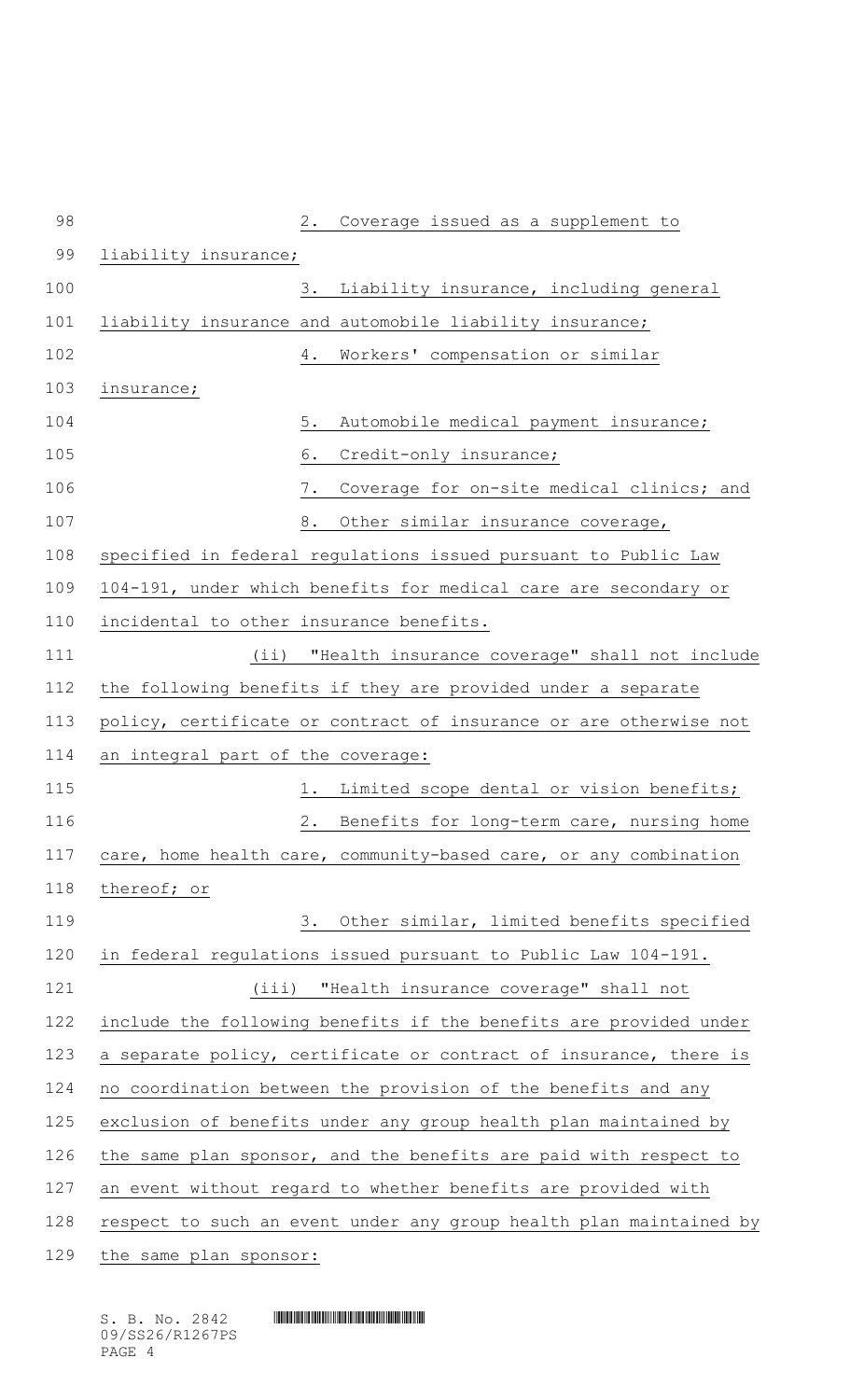| 98  | 2.<br>Coverage issued as a supplement to                           |
|-----|--------------------------------------------------------------------|
| 99  | liability insurance;                                               |
| 100 | 3. Liability insurance, including general                          |
| 101 | liability insurance and automobile liability insurance;            |
| 102 | Workers' compensation or similar<br>4.                             |
| 103 | insurance;                                                         |
| 104 | $5$ .<br>Automobile medical payment insurance;                     |
| 105 | 6.<br>Credit-only insurance;                                       |
| 106 | Coverage for on-site medical clinics; and<br>7.                    |
| 107 | 8.<br>Other similar insurance coverage,                            |
| 108 | specified in federal regulations issued pursuant to Public Law     |
| 109 | 104-191, under which benefits for medical care are secondary or    |
| 110 | incidental to other insurance benefits.                            |
| 111 | (ii) "Health insurance coverage" shall not include                 |
| 112 | the following benefits if they are provided under a separate       |
| 113 | policy, certificate or contract of insurance or are otherwise not  |
| 114 | an integral part of the coverage:                                  |
| 115 | Limited scope dental or vision benefits;<br>1.                     |
| 116 | 2.<br>Benefits for long-term care, nursing home                    |
| 117 | care, home health care, community-based care, or any combination   |
| 118 | thereof; or                                                        |
| 119 | Other similar, limited benefits specified<br>3.                    |
| 120 | in federal regulations issued pursuant to Public Law 104-191.      |
| 121 | "Health insurance coverage" shall not<br>(iii)                     |
| 122 | include the following benefits if the benefits are provided under  |
| 123 | a separate policy, certificate or contract of insurance, there is  |
| 124 | no coordination between the provision of the benefits and any      |
| 125 | exclusion of benefits under any group health plan maintained by    |
| 126 | the same plan sponsor, and the benefits are paid with respect to   |
| 127 | an event without regard to whether benefits are provided with      |
| 128 | respect to such an event under any group health plan maintained by |
| 129 | the same plan sponsor:                                             |

 $S. B. No. 2842$  **INSTERNAL SET AND AND ALL SECTION** 09/SS26/R1267PS PAGE 4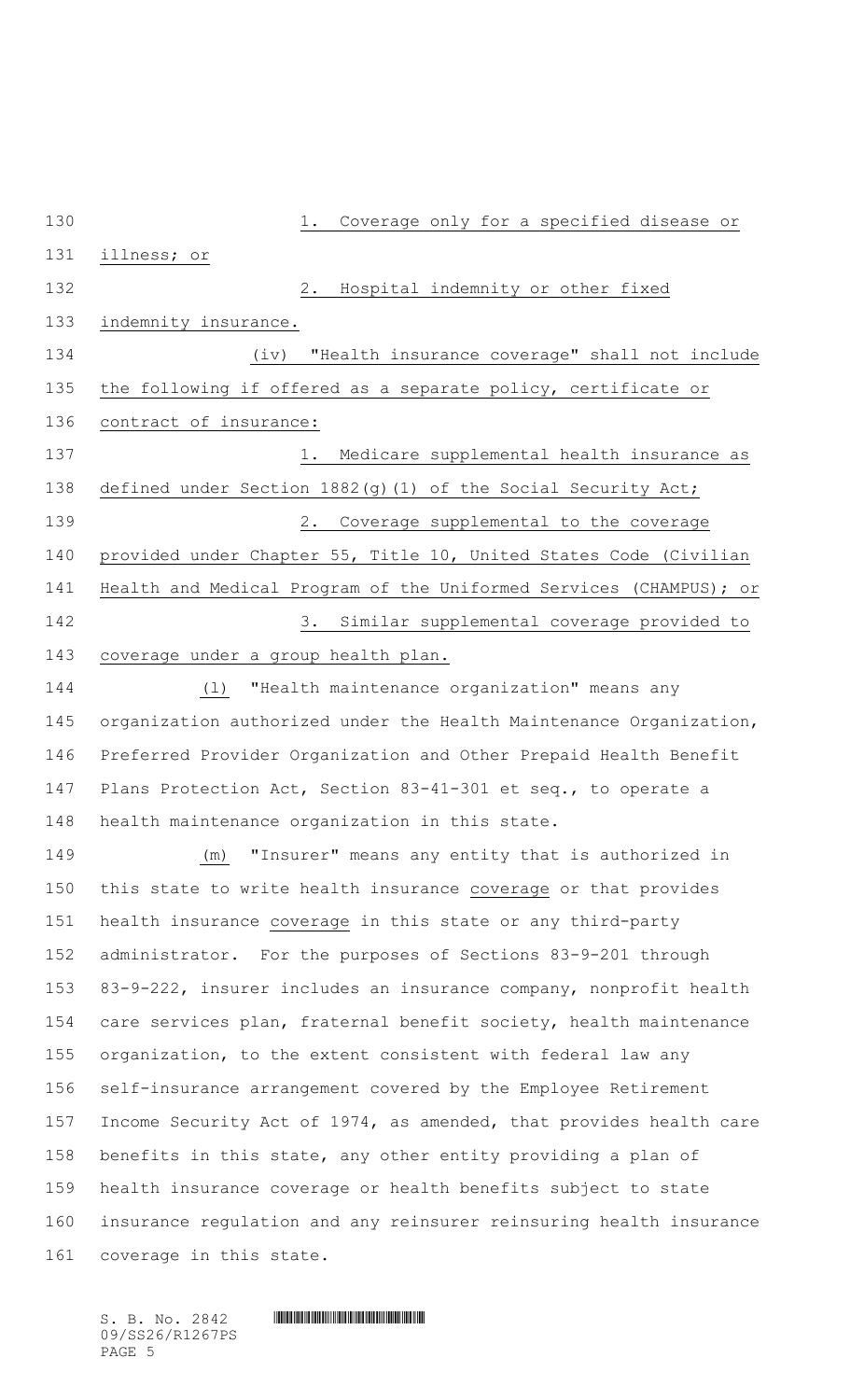1. Coverage only for a specified disease or illness; or 2. Hospital indemnity or other fixed 133 indemnity insurance. (iv) "Health insurance coverage" shall not include the following if offered as a separate policy, certificate or contract of insurance: 137 1. Medicare supplemental health insurance as defined under Section 1882(g)(1) of the Social Security Act; 2. Coverage supplemental to the coverage provided under Chapter 55, Title 10, United States Code (Civilian Health and Medical Program of the Uniformed Services (CHAMPUS); or 3. Similar supplemental coverage provided to coverage under a group health plan. (l) "Health maintenance organization" means any organization authorized under the Health Maintenance Organization, Preferred Provider Organization and Other Prepaid Health Benefit Plans Protection Act, Section 83-41-301 et seq., to operate a health maintenance organization in this state. (m) "Insurer" means any entity that is authorized in this state to write health insurance coverage or that provides health insurance coverage in this state or any third-party administrator. For the purposes of Sections 83-9-201 through 83-9-222, insurer includes an insurance company, nonprofit health care services plan, fraternal benefit society, health maintenance organization, to the extent consistent with federal law any self-insurance arrangement covered by the Employee Retirement Income Security Act of 1974, as amended, that provides health care benefits in this state, any other entity providing a plan of health insurance coverage or health benefits subject to state insurance regulation and any reinsurer reinsuring health insurance coverage in this state.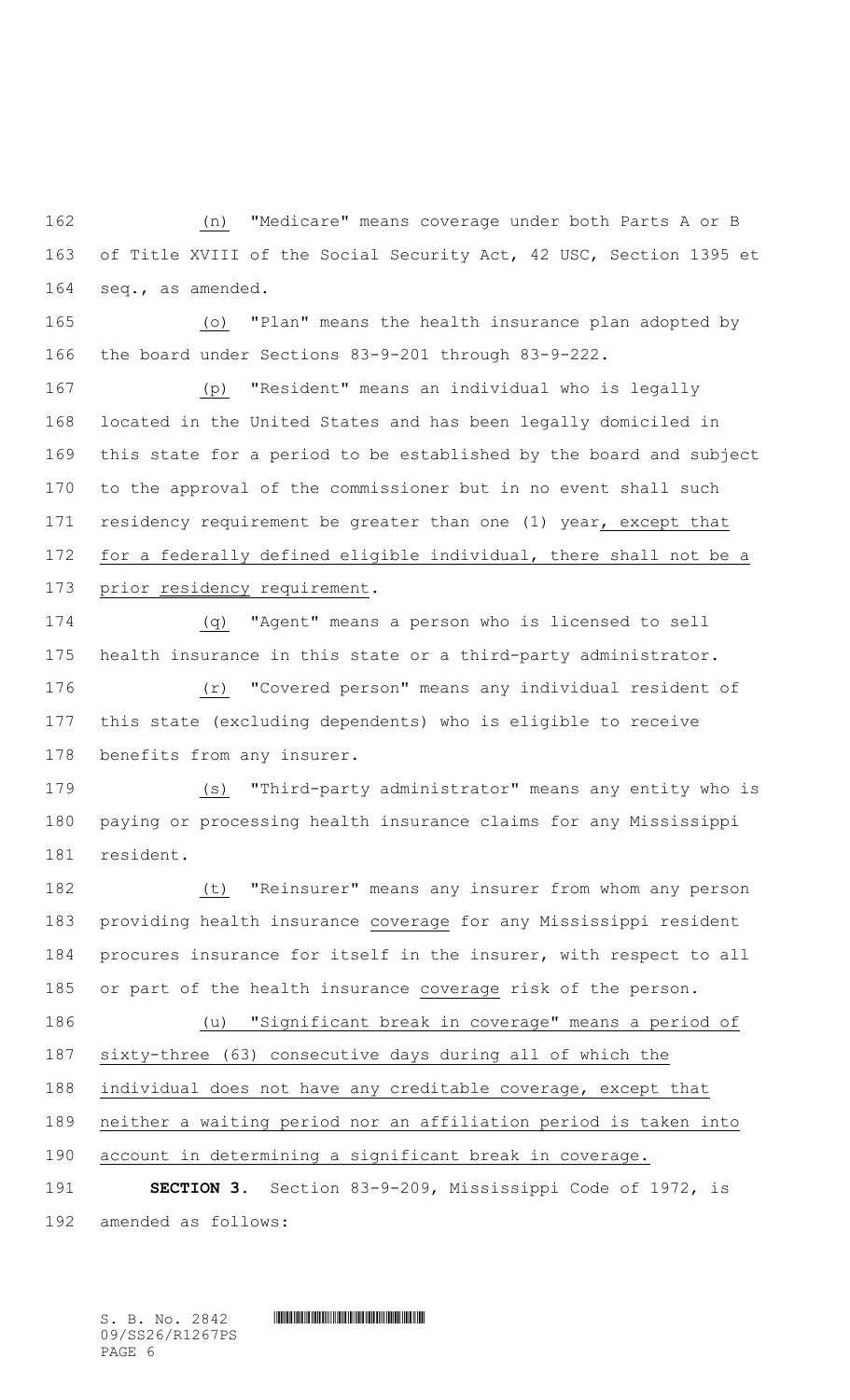(n) "Medicare" means coverage under both Parts A or B of Title XVIII of the Social Security Act, 42 USC, Section 1395 et seq., as amended.

 (o) "Plan" means the health insurance plan adopted by the board under Sections 83-9-201 through 83-9-222.

 (p) "Resident" means an individual who is legally located in the United States and has been legally domiciled in this state for a period to be established by the board and subject to the approval of the commissioner but in no event shall such residency requirement be greater than one (1) year, except that for a federally defined eligible individual, there shall not be a 173 prior residency requirement.

 (q) "Agent" means a person who is licensed to sell health insurance in this state or a third-party administrator.

 (r) "Covered person" means any individual resident of this state (excluding dependents) who is eligible to receive benefits from any insurer.

 (s) "Third-party administrator" means any entity who is paying or processing health insurance claims for any Mississippi resident.

 (t) "Reinsurer" means any insurer from whom any person providing health insurance coverage for any Mississippi resident procures insurance for itself in the insurer, with respect to all or part of the health insurance coverage risk of the person. (u) "Significant break in coverage" means a period of sixty-three (63) consecutive days during all of which the individual does not have any creditable coverage, except that neither a waiting period nor an affiliation period is taken into account in determining a significant break in coverage.

 **SECTION 3.** Section 83-9-209, Mississippi Code of 1972, is amended as follows: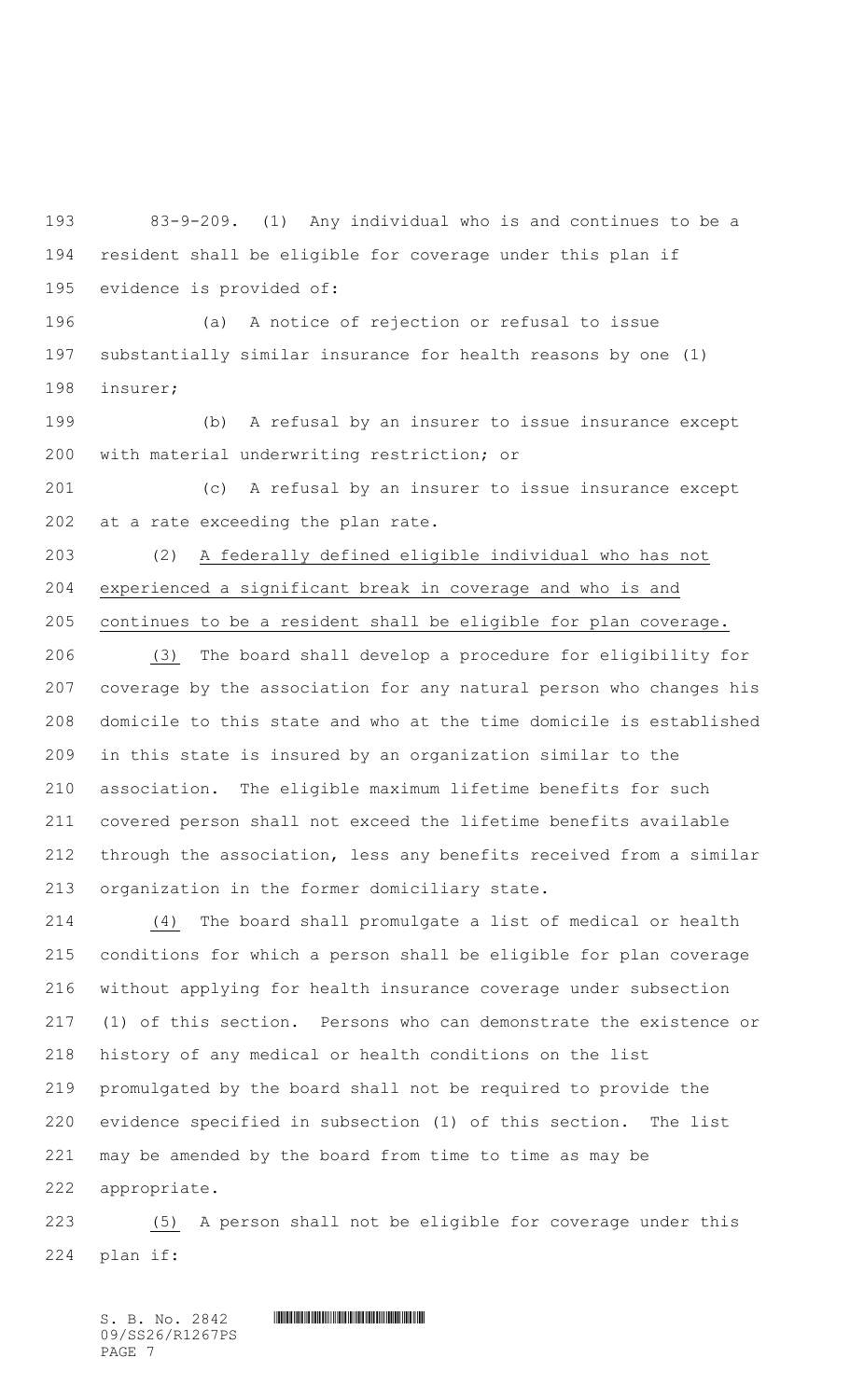83-9-209. (1) Any individual who is and continues to be a resident shall be eligible for coverage under this plan if evidence is provided of:

 (a) A notice of rejection or refusal to issue substantially similar insurance for health reasons by one (1) insurer;

 (b) A refusal by an insurer to issue insurance except with material underwriting restriction; or

 (c) A refusal by an insurer to issue insurance except at a rate exceeding the plan rate.

 (2) A federally defined eligible individual who has not experienced a significant break in coverage and who is and continues to be a resident shall be eligible for plan coverage.

 (3) The board shall develop a procedure for eligibility for coverage by the association for any natural person who changes his domicile to this state and who at the time domicile is established in this state is insured by an organization similar to the association. The eligible maximum lifetime benefits for such covered person shall not exceed the lifetime benefits available through the association, less any benefits received from a similar organization in the former domiciliary state.

 (4) The board shall promulgate a list of medical or health conditions for which a person shall be eligible for plan coverage without applying for health insurance coverage under subsection (1) of this section. Persons who can demonstrate the existence or history of any medical or health conditions on the list promulgated by the board shall not be required to provide the evidence specified in subsection (1) of this section. The list may be amended by the board from time to time as may be appropriate.

 (5) A person shall not be eligible for coverage under this plan if: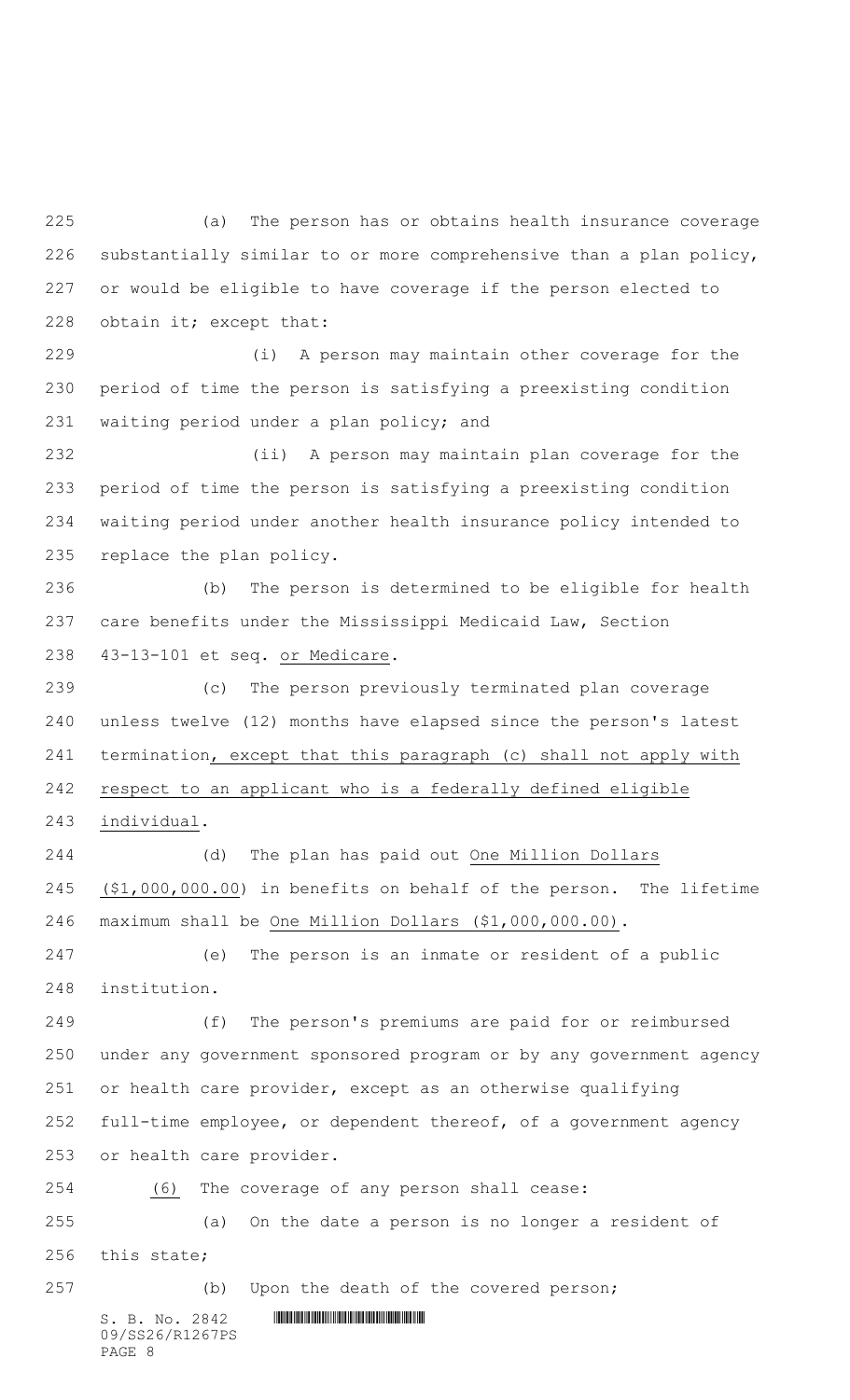(a) The person has or obtains health insurance coverage substantially similar to or more comprehensive than a plan policy, or would be eligible to have coverage if the person elected to obtain it; except that:

 (i) A person may maintain other coverage for the period of time the person is satisfying a preexisting condition waiting period under a plan policy; and

 (ii) A person may maintain plan coverage for the period of time the person is satisfying a preexisting condition waiting period under another health insurance policy intended to replace the plan policy.

 (b) The person is determined to be eligible for health care benefits under the Mississippi Medicaid Law, Section 43-13-101 et seq. or Medicare.

 (c) The person previously terminated plan coverage unless twelve (12) months have elapsed since the person's latest termination, except that this paragraph (c) shall not apply with respect to an applicant who is a federally defined eligible individual.

 (d) The plan has paid out One Million Dollars (\$1,000,000.00) in benefits on behalf of the person. The lifetime maximum shall be One Million Dollars (\$1,000,000.00).

 (e) The person is an inmate or resident of a public institution.

 (f) The person's premiums are paid for or reimbursed under any government sponsored program or by any government agency or health care provider, except as an otherwise qualifying full-time employee, or dependent thereof, of a government agency or health care provider.

(6) The coverage of any person shall cease:

 (a) On the date a person is no longer a resident of this state;

(b) Upon the death of the covered person;

 $S. B. No. 2842$  \*strategy and the strategy of  $S. B. NO. 2842$ 09/SS26/R1267PS PAGE 8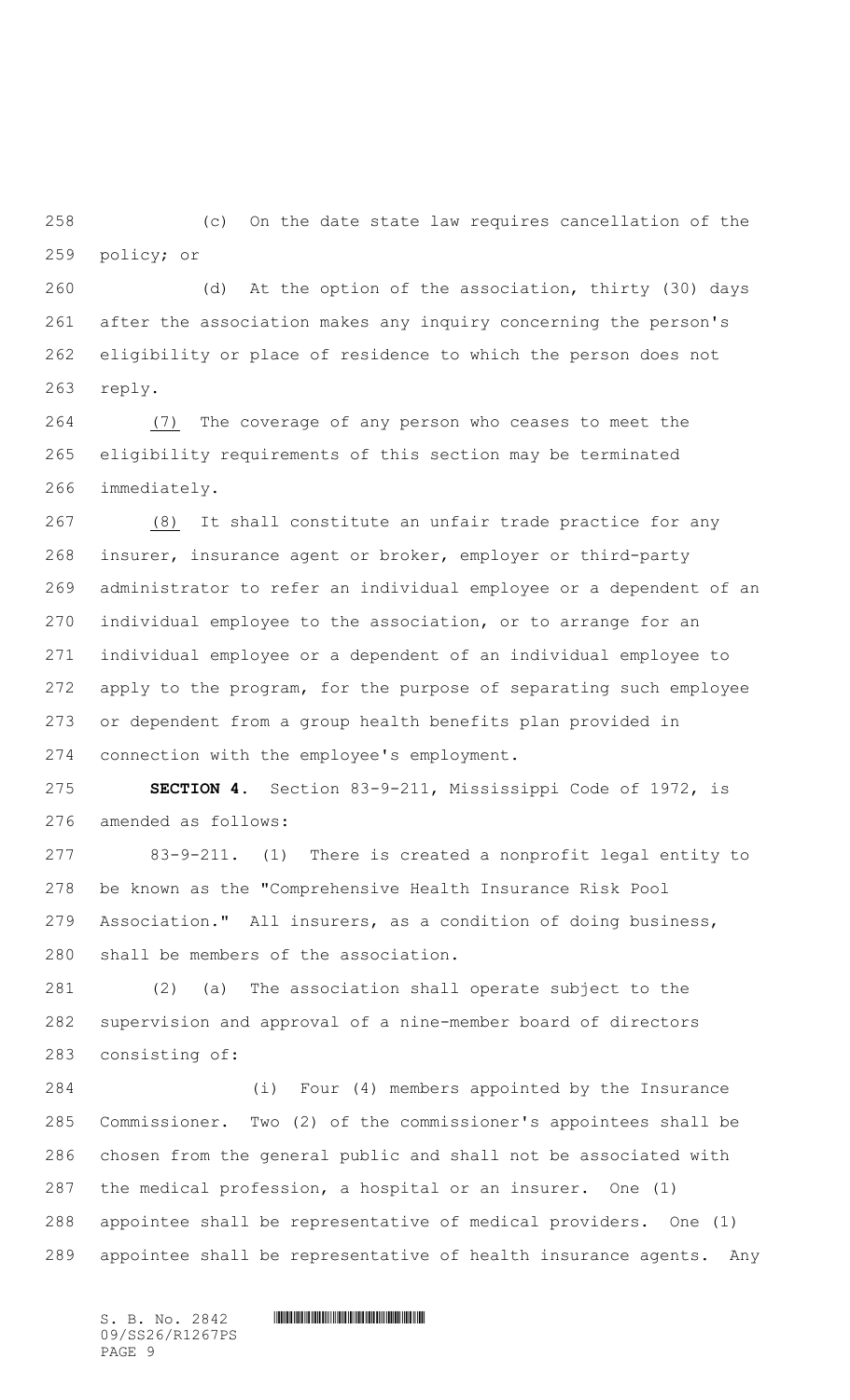(c) On the date state law requires cancellation of the policy; or

 (d) At the option of the association, thirty (30) days after the association makes any inquiry concerning the person's eligibility or place of residence to which the person does not reply.

 (7) The coverage of any person who ceases to meet the eligibility requirements of this section may be terminated immediately.

 (8) It shall constitute an unfair trade practice for any insurer, insurance agent or broker, employer or third-party administrator to refer an individual employee or a dependent of an individual employee to the association, or to arrange for an individual employee or a dependent of an individual employee to apply to the program, for the purpose of separating such employee or dependent from a group health benefits plan provided in connection with the employee's employment.

 **SECTION 4.** Section 83-9-211, Mississippi Code of 1972, is amended as follows:

 83-9-211. (1) There is created a nonprofit legal entity to be known as the "Comprehensive Health Insurance Risk Pool Association." All insurers, as a condition of doing business, shall be members of the association.

 (2) (a) The association shall operate subject to the supervision and approval of a nine-member board of directors consisting of:

 (i) Four (4) members appointed by the Insurance Commissioner. Two (2) of the commissioner's appointees shall be chosen from the general public and shall not be associated with the medical profession, a hospital or an insurer. One (1) appointee shall be representative of medical providers. One (1) appointee shall be representative of health insurance agents. Any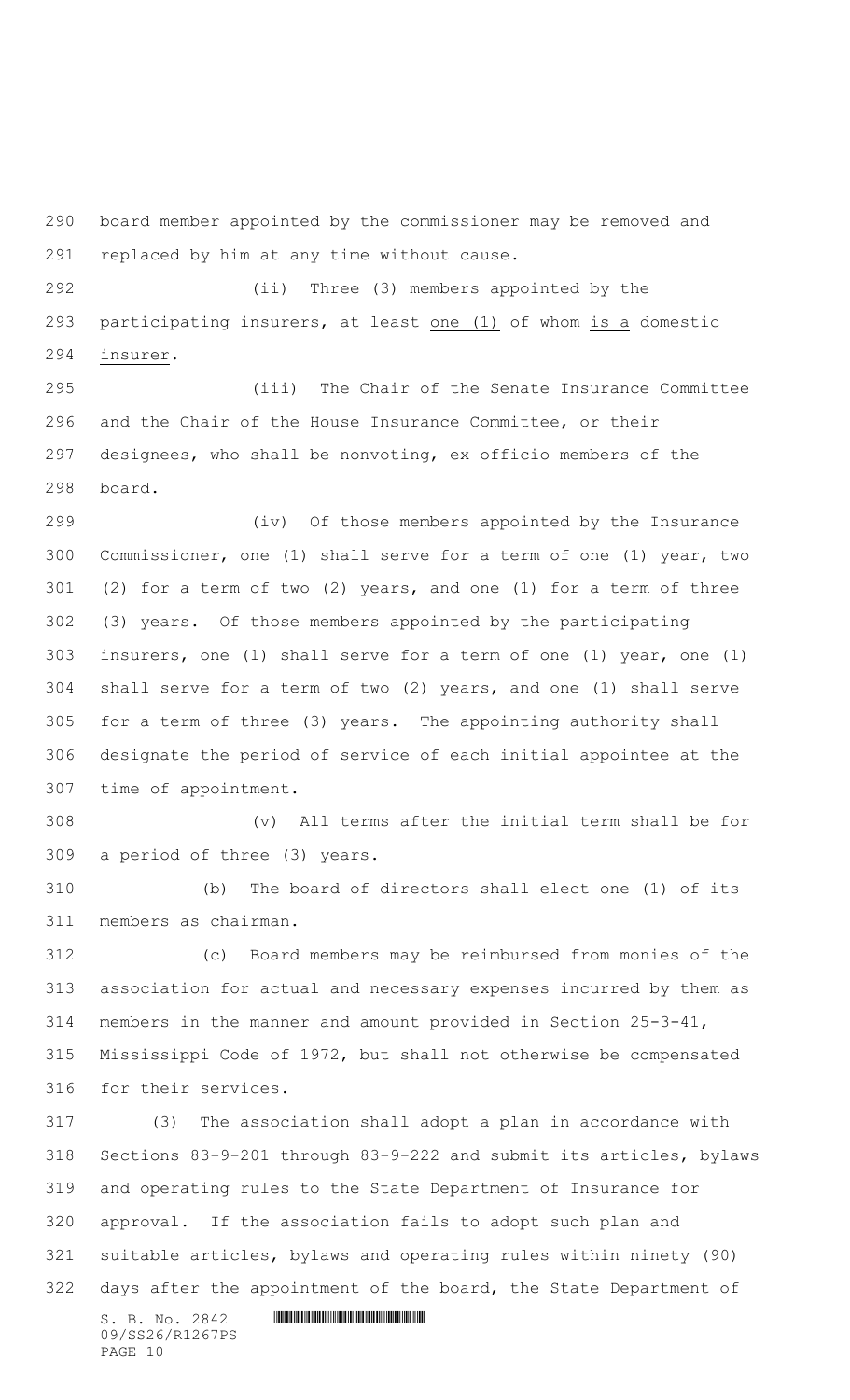board member appointed by the commissioner may be removed and replaced by him at any time without cause.

 (ii) Three (3) members appointed by the participating insurers, at least one (1) of whom is a domestic insurer.

 (iii) The Chair of the Senate Insurance Committee and the Chair of the House Insurance Committee, or their designees, who shall be nonvoting, ex officio members of the board.

 (iv) Of those members appointed by the Insurance Commissioner, one (1) shall serve for a term of one (1) year, two (2) for a term of two (2) years, and one (1) for a term of three (3) years. Of those members appointed by the participating insurers, one (1) shall serve for a term of one (1) year, one (1) shall serve for a term of two (2) years, and one (1) shall serve for a term of three (3) years. The appointing authority shall designate the period of service of each initial appointee at the time of appointment.

 (v) All terms after the initial term shall be for a period of three (3) years.

 (b) The board of directors shall elect one (1) of its members as chairman.

 (c) Board members may be reimbursed from monies of the association for actual and necessary expenses incurred by them as members in the manner and amount provided in Section 25-3-41, Mississippi Code of 1972, but shall not otherwise be compensated for their services.

 (3) The association shall adopt a plan in accordance with Sections 83-9-201 through 83-9-222 and submit its articles, bylaws and operating rules to the State Department of Insurance for approval. If the association fails to adopt such plan and suitable articles, bylaws and operating rules within ninety (90) 322 days after the appointment of the board, the State Department of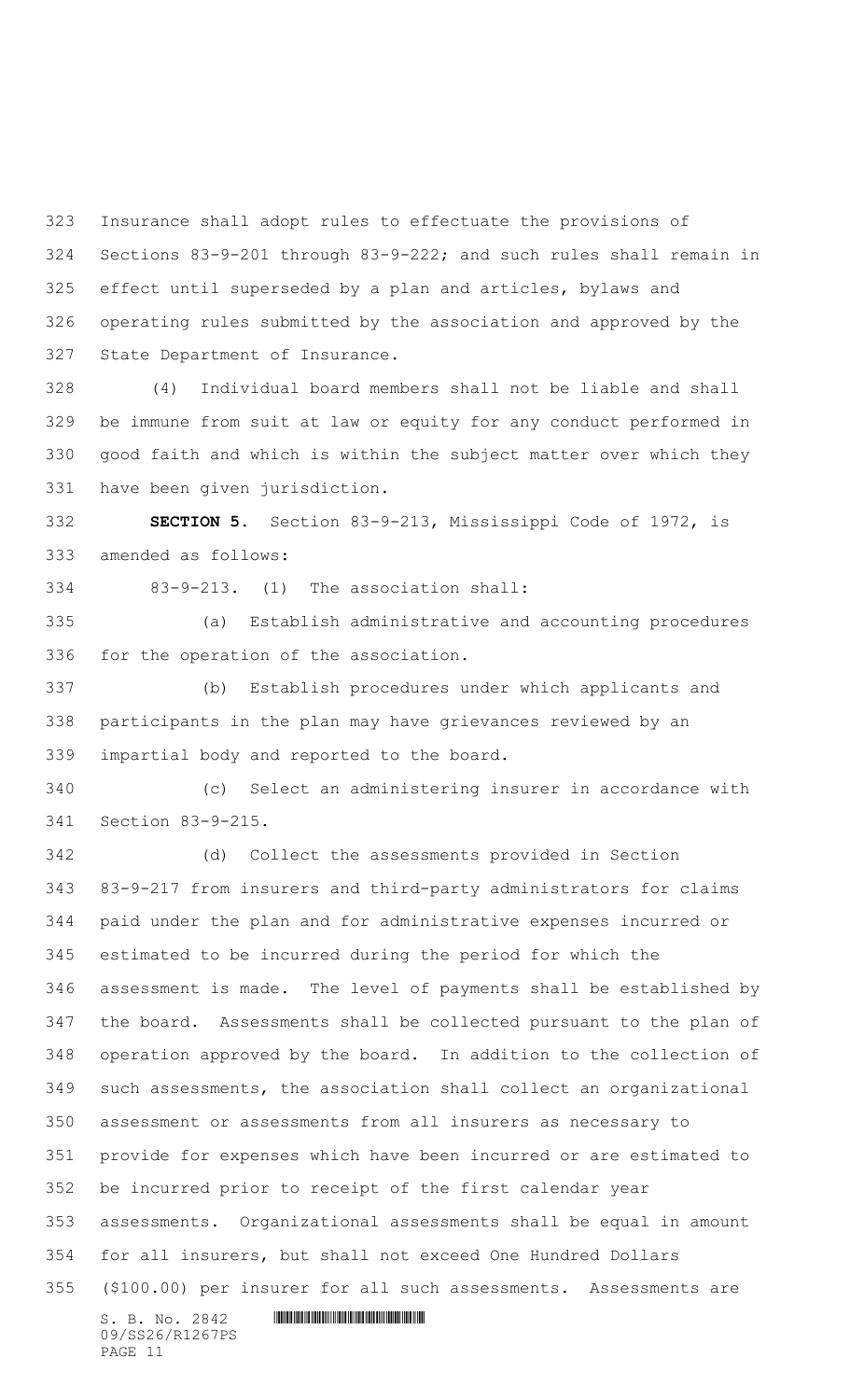Insurance shall adopt rules to effectuate the provisions of Sections 83-9-201 through 83-9-222; and such rules shall remain in effect until superseded by a plan and articles, bylaws and operating rules submitted by the association and approved by the State Department of Insurance.

 (4) Individual board members shall not be liable and shall be immune from suit at law or equity for any conduct performed in good faith and which is within the subject matter over which they have been given jurisdiction.

 **SECTION 5.** Section 83-9-213, Mississippi Code of 1972, is amended as follows:

83-9-213. (1) The association shall:

 (a) Establish administrative and accounting procedures for the operation of the association.

 (b) Establish procedures under which applicants and participants in the plan may have grievances reviewed by an impartial body and reported to the board.

 (c) Select an administering insurer in accordance with Section 83-9-215.

 $S. B. No. 2842$  **INNIFICANT IN A REPORT OF A REPORT OF A REPORT OF A REPORT OF A REPORT OF A REPORT OF A REPORT OF A REPORT OF A REPORT OF A REPORT OF A REPORT OF A REPORT OF A REPORT OF A REPORT OF A REPORT OF A REPORT OF**  (d) Collect the assessments provided in Section 83-9-217 from insurers and third-party administrators for claims paid under the plan and for administrative expenses incurred or estimated to be incurred during the period for which the assessment is made. The level of payments shall be established by the board. Assessments shall be collected pursuant to the plan of operation approved by the board. In addition to the collection of such assessments, the association shall collect an organizational assessment or assessments from all insurers as necessary to provide for expenses which have been incurred or are estimated to be incurred prior to receipt of the first calendar year assessments. Organizational assessments shall be equal in amount for all insurers, but shall not exceed One Hundred Dollars (\$100.00) per insurer for all such assessments. Assessments are

09/SS26/R1267PS PAGE 11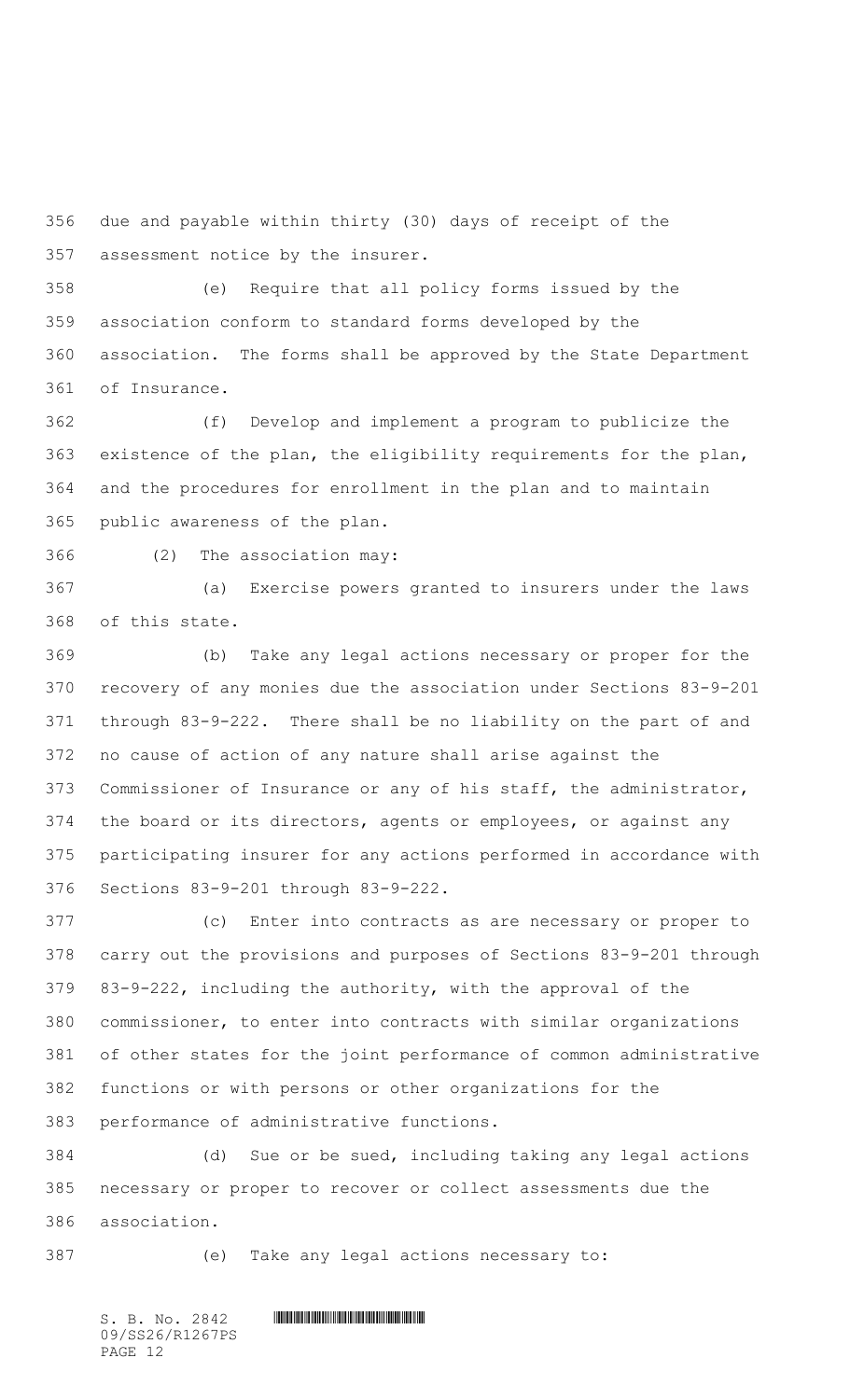due and payable within thirty (30) days of receipt of the assessment notice by the insurer.

 (e) Require that all policy forms issued by the association conform to standard forms developed by the association. The forms shall be approved by the State Department of Insurance.

 (f) Develop and implement a program to publicize the existence of the plan, the eligibility requirements for the plan, and the procedures for enrollment in the plan and to maintain public awareness of the plan.

(2) The association may:

 (a) Exercise powers granted to insurers under the laws of this state.

 (b) Take any legal actions necessary or proper for the recovery of any monies due the association under Sections 83-9-201 through 83-9-222. There shall be no liability on the part of and no cause of action of any nature shall arise against the Commissioner of Insurance or any of his staff, the administrator, the board or its directors, agents or employees, or against any participating insurer for any actions performed in accordance with Sections 83-9-201 through 83-9-222.

 (c) Enter into contracts as are necessary or proper to carry out the provisions and purposes of Sections 83-9-201 through 83-9-222, including the authority, with the approval of the commissioner, to enter into contracts with similar organizations of other states for the joint performance of common administrative functions or with persons or other organizations for the performance of administrative functions.

 (d) Sue or be sued, including taking any legal actions necessary or proper to recover or collect assessments due the association.

(e) Take any legal actions necessary to: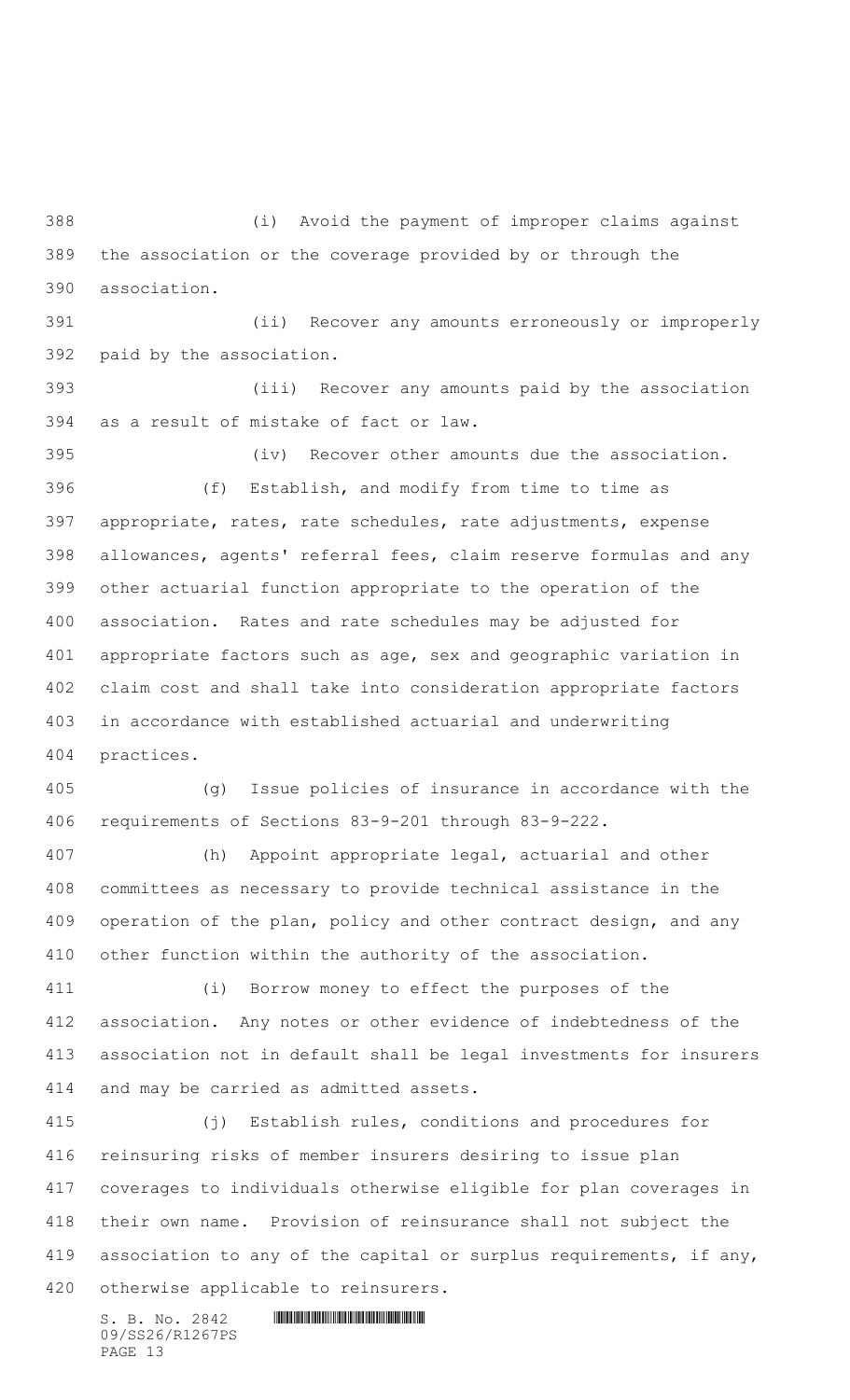(i) Avoid the payment of improper claims against the association or the coverage provided by or through the association.

 (ii) Recover any amounts erroneously or improperly paid by the association.

 (iii) Recover any amounts paid by the association as a result of mistake of fact or law.

 (iv) Recover other amounts due the association. (f) Establish, and modify from time to time as appropriate, rates, rate schedules, rate adjustments, expense allowances, agents' referral fees, claim reserve formulas and any other actuarial function appropriate to the operation of the association. Rates and rate schedules may be adjusted for appropriate factors such as age, sex and geographic variation in claim cost and shall take into consideration appropriate factors in accordance with established actuarial and underwriting practices.

 (g) Issue policies of insurance in accordance with the requirements of Sections 83-9-201 through 83-9-222.

 (h) Appoint appropriate legal, actuarial and other committees as necessary to provide technical assistance in the operation of the plan, policy and other contract design, and any other function within the authority of the association.

 (i) Borrow money to effect the purposes of the association. Any notes or other evidence of indebtedness of the association not in default shall be legal investments for insurers and may be carried as admitted assets.

 (j) Establish rules, conditions and procedures for reinsuring risks of member insurers desiring to issue plan coverages to individuals otherwise eligible for plan coverages in their own name. Provision of reinsurance shall not subject the 419 association to any of the capital or surplus requirements, if any, otherwise applicable to reinsurers.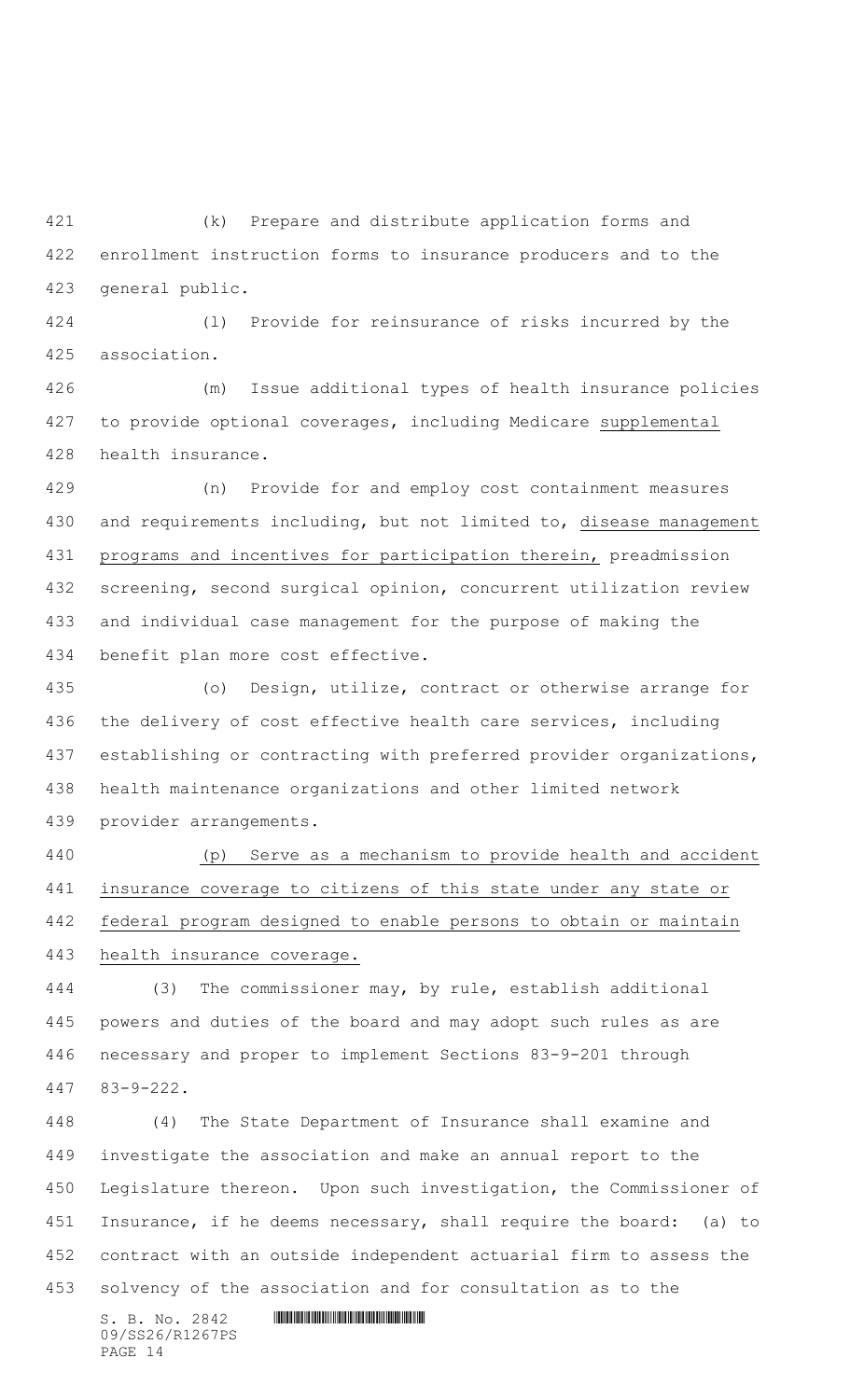(k) Prepare and distribute application forms and enrollment instruction forms to insurance producers and to the general public.

 (l) Provide for reinsurance of risks incurred by the association.

 (m) Issue additional types of health insurance policies to provide optional coverages, including Medicare supplemental health insurance.

 (n) Provide for and employ cost containment measures and requirements including, but not limited to, disease management programs and incentives for participation therein, preadmission screening, second surgical opinion, concurrent utilization review and individual case management for the purpose of making the benefit plan more cost effective.

 (o) Design, utilize, contract or otherwise arrange for the delivery of cost effective health care services, including establishing or contracting with preferred provider organizations, health maintenance organizations and other limited network provider arrangements.

 (p) Serve as a mechanism to provide health and accident insurance coverage to citizens of this state under any state or federal program designed to enable persons to obtain or maintain health insurance coverage.

 (3) The commissioner may, by rule, establish additional powers and duties of the board and may adopt such rules as are necessary and proper to implement Sections 83-9-201 through 83-9-222.

 (4) The State Department of Insurance shall examine and investigate the association and make an annual report to the Legislature thereon. Upon such investigation, the Commissioner of 451 Insurance, if he deems necessary, shall require the board: (a) to contract with an outside independent actuarial firm to assess the solvency of the association and for consultation as to the

 $S. B. No. 2842$  **INNIFICANT IN A REPORT OF A REPORT OF A REPORT OF A REPORT OF A REPORT OF A REPORT OF A REPORT OF A REPORT OF A REPORT OF A REPORT OF A REPORT OF A REPORT OF A REPORT OF A REPORT OF A REPORT OF A REPORT OF** 09/SS26/R1267PS PAGE 14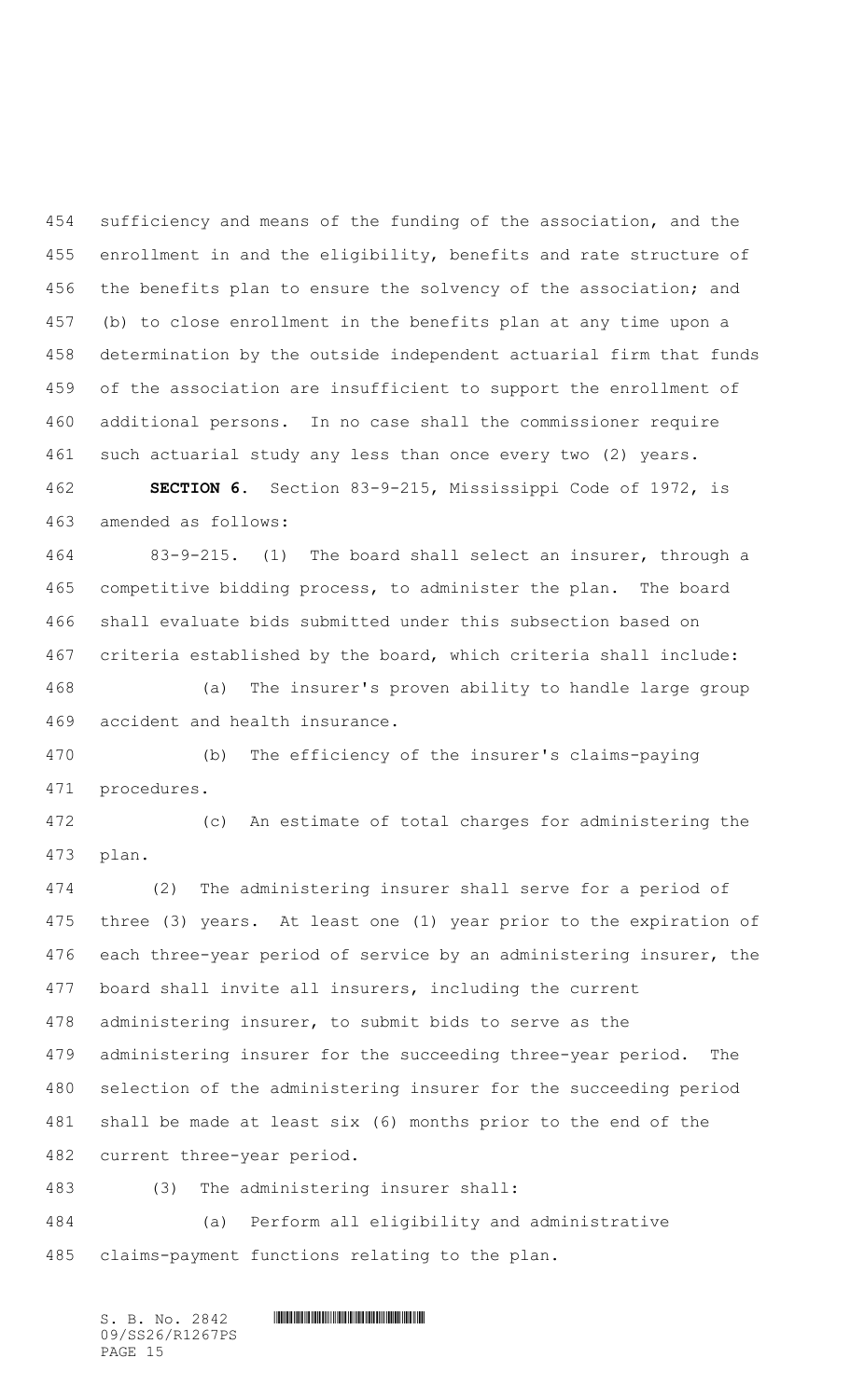sufficiency and means of the funding of the association, and the 455 enrollment in and the eligibility, benefits and rate structure of 456 the benefits plan to ensure the solvency of the association; and (b) to close enrollment in the benefits plan at any time upon a determination by the outside independent actuarial firm that funds of the association are insufficient to support the enrollment of additional persons. In no case shall the commissioner require such actuarial study any less than once every two (2) years.

 **SECTION 6.** Section 83-9-215, Mississippi Code of 1972, is amended as follows:

 83-9-215. (1) The board shall select an insurer, through a competitive bidding process, to administer the plan. The board shall evaluate bids submitted under this subsection based on criteria established by the board, which criteria shall include:

 (a) The insurer's proven ability to handle large group accident and health insurance.

 (b) The efficiency of the insurer's claims-paying procedures.

 (c) An estimate of total charges for administering the plan.

 (2) The administering insurer shall serve for a period of three (3) years. At least one (1) year prior to the expiration of each three-year period of service by an administering insurer, the board shall invite all insurers, including the current administering insurer, to submit bids to serve as the administering insurer for the succeeding three-year period. The selection of the administering insurer for the succeeding period shall be made at least six (6) months prior to the end of the current three-year period.

(3) The administering insurer shall:

 (a) Perform all eligibility and administrative claims-payment functions relating to the plan.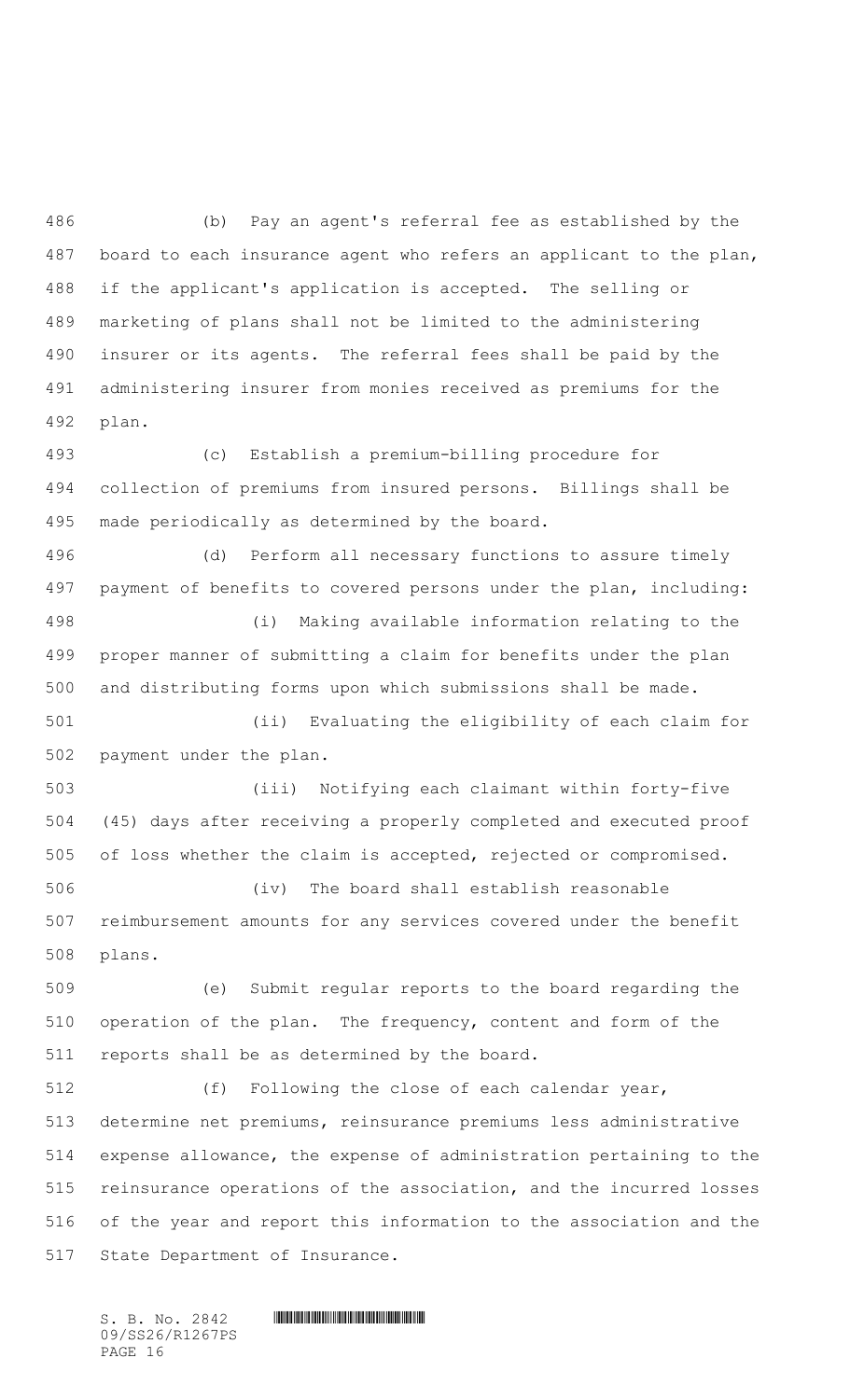(b) Pay an agent's referral fee as established by the board to each insurance agent who refers an applicant to the plan, if the applicant's application is accepted. The selling or marketing of plans shall not be limited to the administering insurer or its agents. The referral fees shall be paid by the administering insurer from monies received as premiums for the plan.

 (c) Establish a premium-billing procedure for collection of premiums from insured persons. Billings shall be made periodically as determined by the board.

 (d) Perform all necessary functions to assure timely payment of benefits to covered persons under the plan, including: (i) Making available information relating to the proper manner of submitting a claim for benefits under the plan and distributing forms upon which submissions shall be made.

 (ii) Evaluating the eligibility of each claim for payment under the plan.

 (iii) Notifying each claimant within forty-five (45) days after receiving a properly completed and executed proof of loss whether the claim is accepted, rejected or compromised.

 (iv) The board shall establish reasonable reimbursement amounts for any services covered under the benefit plans.

 (e) Submit regular reports to the board regarding the operation of the plan. The frequency, content and form of the reports shall be as determined by the board.

 (f) Following the close of each calendar year, determine net premiums, reinsurance premiums less administrative expense allowance, the expense of administration pertaining to the reinsurance operations of the association, and the incurred losses of the year and report this information to the association and the State Department of Insurance.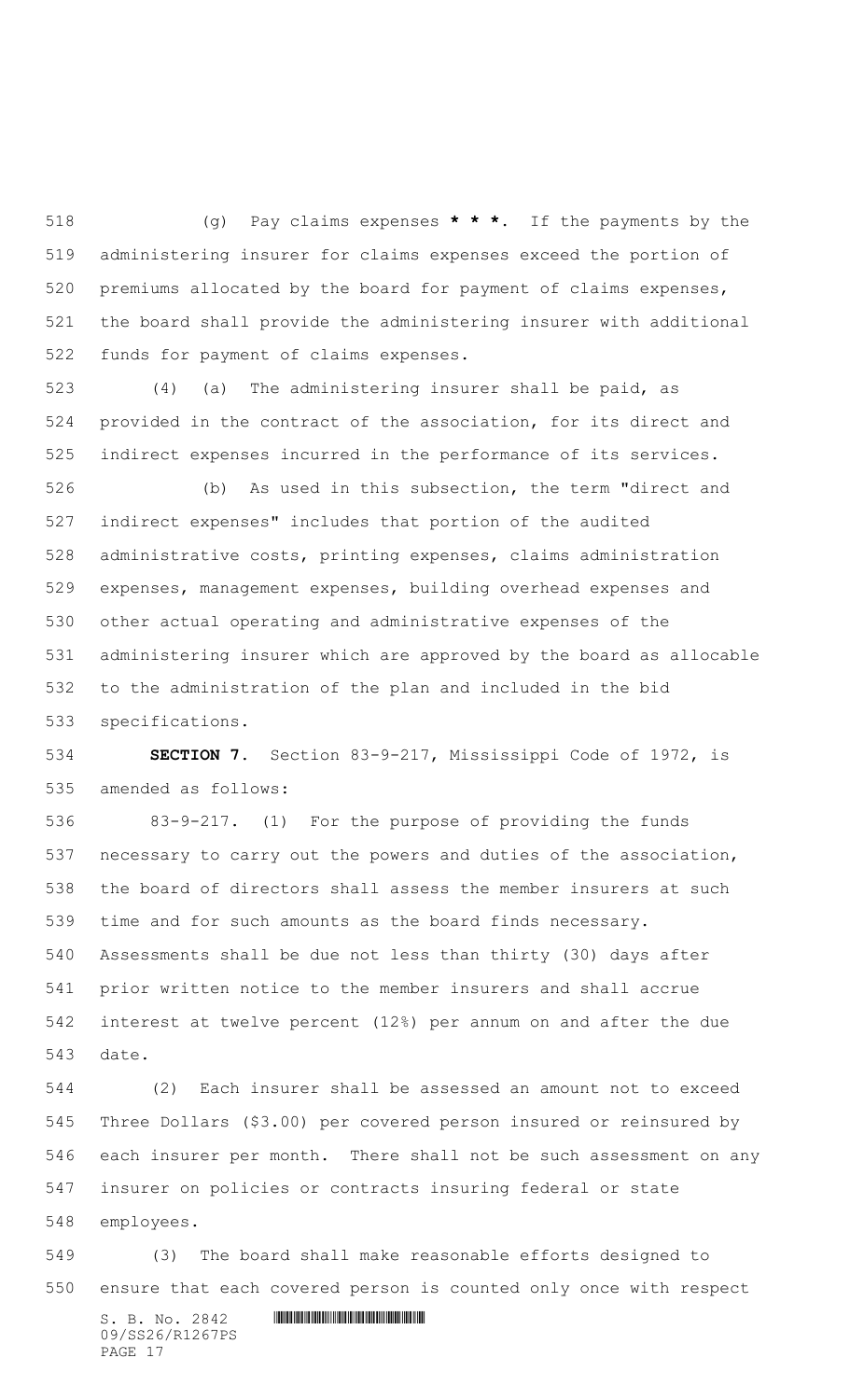(g) Pay claims expenses **\* \* \***. If the payments by the administering insurer for claims expenses exceed the portion of premiums allocated by the board for payment of claims expenses, the board shall provide the administering insurer with additional funds for payment of claims expenses.

 (4) (a) The administering insurer shall be paid, as provided in the contract of the association, for its direct and indirect expenses incurred in the performance of its services.

 (b) As used in this subsection, the term "direct and indirect expenses" includes that portion of the audited administrative costs, printing expenses, claims administration expenses, management expenses, building overhead expenses and other actual operating and administrative expenses of the administering insurer which are approved by the board as allocable to the administration of the plan and included in the bid specifications.

 **SECTION 7.** Section 83-9-217, Mississippi Code of 1972, is amended as follows:

 83-9-217. (1) For the purpose of providing the funds necessary to carry out the powers and duties of the association, the board of directors shall assess the member insurers at such time and for such amounts as the board finds necessary. Assessments shall be due not less than thirty (30) days after prior written notice to the member insurers and shall accrue interest at twelve percent (12%) per annum on and after the due date.

 (2) Each insurer shall be assessed an amount not to exceed Three Dollars (\$3.00) per covered person insured or reinsured by each insurer per month. There shall not be such assessment on any insurer on policies or contracts insuring federal or state employees.

 (3) The board shall make reasonable efforts designed to ensure that each covered person is counted only once with respect

 $S. B. No. 2842$  **INNIFICANT IN A REPORT OF A REPORT OF A REPORT OF A REPORT OF A REPORT OF A REPORT OF A REPORT OF A REPORT OF A REPORT OF A REPORT OF A REPORT OF A REPORT OF A REPORT OF A REPORT OF A REPORT OF A REPORT OF** 09/SS26/R1267PS PAGE 17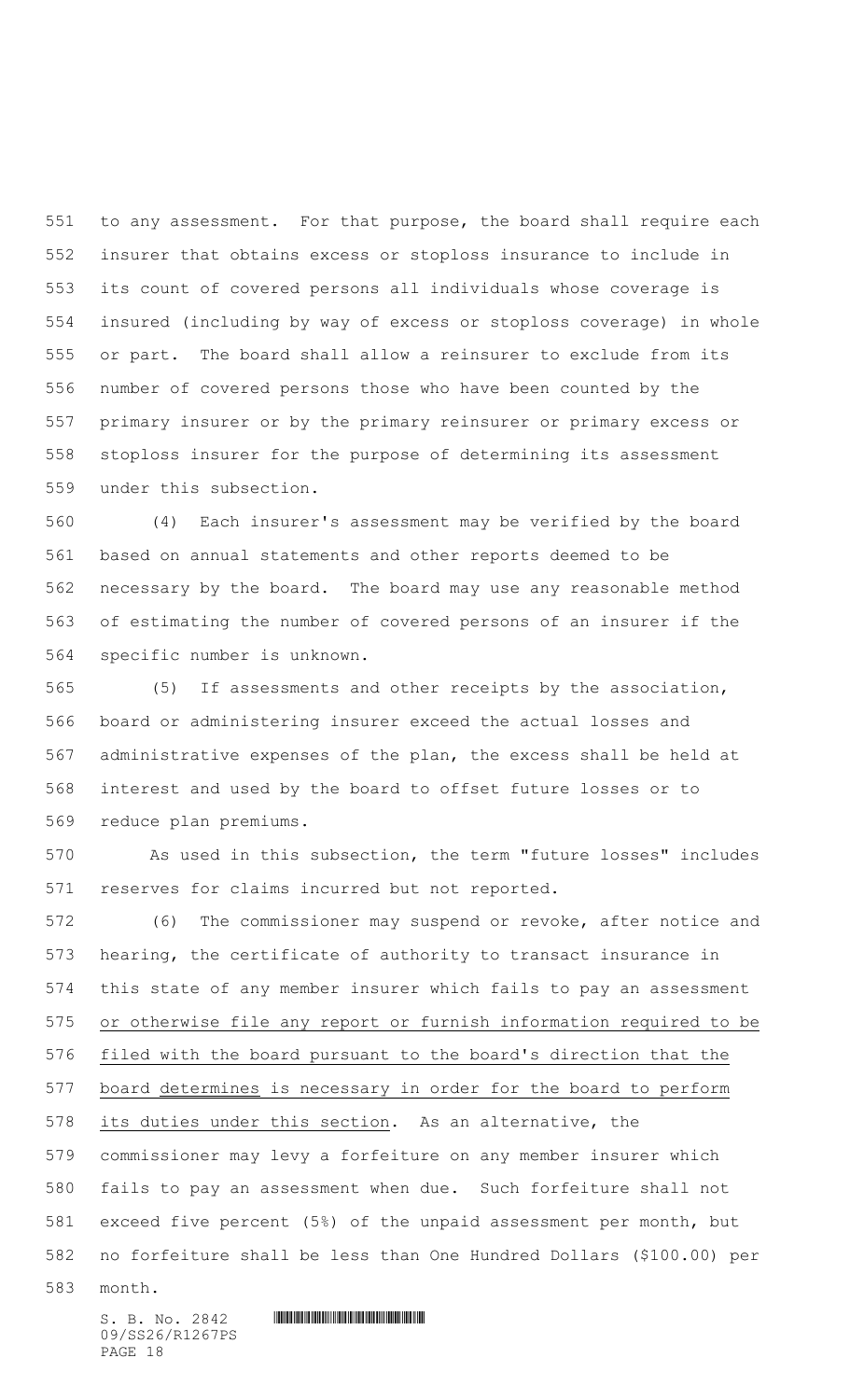551 to any assessment. For that purpose, the board shall require each insurer that obtains excess or stoploss insurance to include in its count of covered persons all individuals whose coverage is insured (including by way of excess or stoploss coverage) in whole or part. The board shall allow a reinsurer to exclude from its number of covered persons those who have been counted by the primary insurer or by the primary reinsurer or primary excess or stoploss insurer for the purpose of determining its assessment under this subsection.

 (4) Each insurer's assessment may be verified by the board based on annual statements and other reports deemed to be necessary by the board. The board may use any reasonable method of estimating the number of covered persons of an insurer if the specific number is unknown.

 (5) If assessments and other receipts by the association, board or administering insurer exceed the actual losses and administrative expenses of the plan, the excess shall be held at interest and used by the board to offset future losses or to reduce plan premiums.

 As used in this subsection, the term "future losses" includes reserves for claims incurred but not reported.

 (6) The commissioner may suspend or revoke, after notice and hearing, the certificate of authority to transact insurance in this state of any member insurer which fails to pay an assessment or otherwise file any report or furnish information required to be filed with the board pursuant to the board's direction that the 577 board determines is necessary in order for the board to perform its duties under this section. As an alternative, the commissioner may levy a forfeiture on any member insurer which fails to pay an assessment when due. Such forfeiture shall not exceed five percent (5%) of the unpaid assessment per month, but no forfeiture shall be less than One Hundred Dollars (\$100.00) per month.

 $S. B. No. 2842$  **INNIFICANT IN A REPORT OF A REPORT OF A REPORT OF A REPORT OF A REPORT OF A REPORT OF A REPORT OF A REPORT OF A REPORT OF A REPORT OF A REPORT OF A REPORT OF A REPORT OF A REPORT OF A REPORT OF A REPORT OF** 09/SS26/R1267PS PAGE 18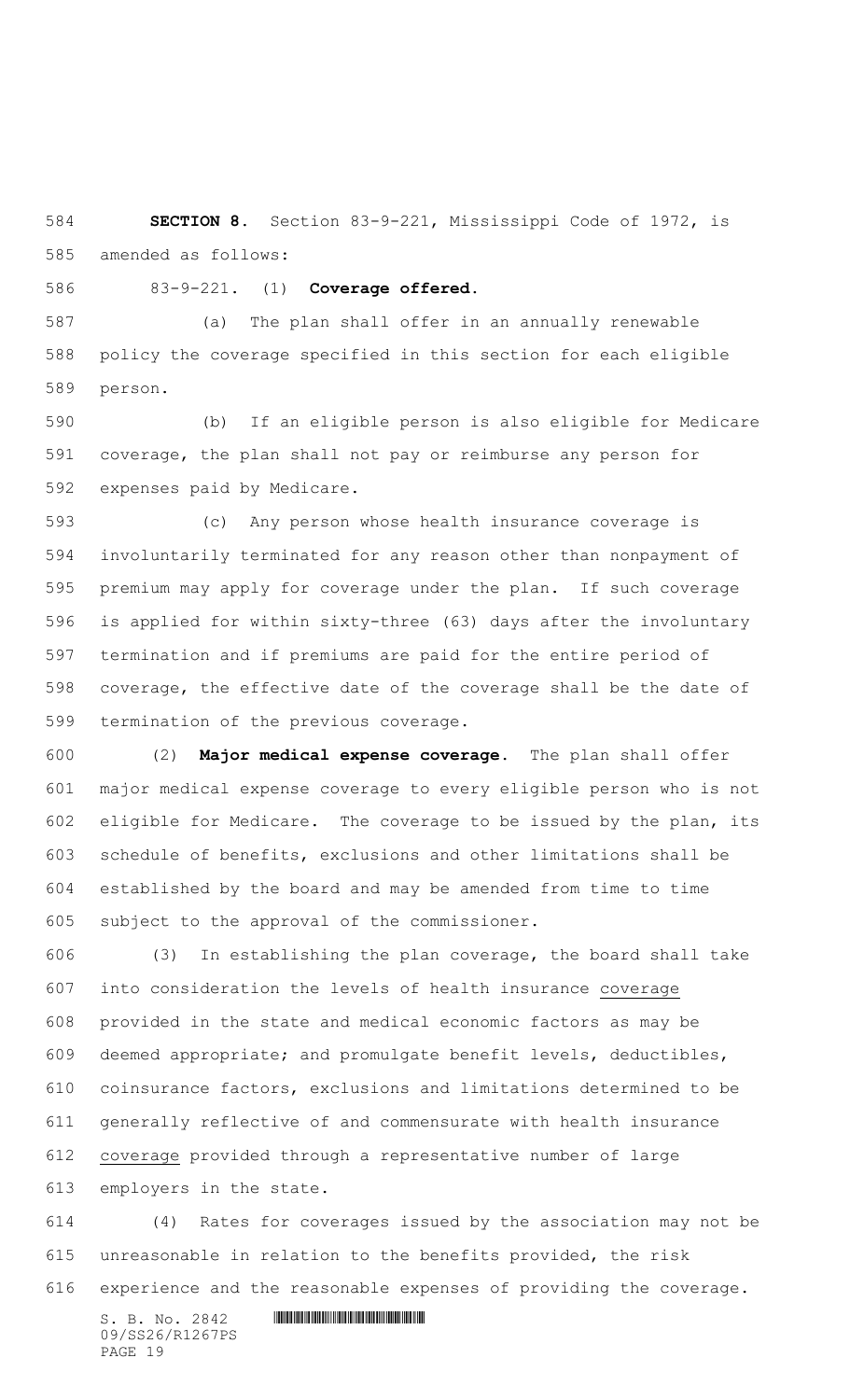**SECTION 8.** Section 83-9-221, Mississippi Code of 1972, is amended as follows:

83-9-221. (1) **Coverage offered.**

 (a) The plan shall offer in an annually renewable policy the coverage specified in this section for each eligible person.

 (b) If an eligible person is also eligible for Medicare coverage, the plan shall not pay or reimburse any person for expenses paid by Medicare.

 (c) Any person whose health insurance coverage is involuntarily terminated for any reason other than nonpayment of premium may apply for coverage under the plan. If such coverage is applied for within sixty-three (63) days after the involuntary termination and if premiums are paid for the entire period of coverage, the effective date of the coverage shall be the date of termination of the previous coverage.

 (2) **Major medical expense coverage.** The plan shall offer major medical expense coverage to every eligible person who is not eligible for Medicare. The coverage to be issued by the plan, its schedule of benefits, exclusions and other limitations shall be established by the board and may be amended from time to time subject to the approval of the commissioner.

 (3) In establishing the plan coverage, the board shall take into consideration the levels of health insurance coverage provided in the state and medical economic factors as may be deemed appropriate; and promulgate benefit levels, deductibles, coinsurance factors, exclusions and limitations determined to be generally reflective of and commensurate with health insurance coverage provided through a representative number of large employers in the state.

 (4) Rates for coverages issued by the association may not be unreasonable in relation to the benefits provided, the risk experience and the reasonable expenses of providing the coverage.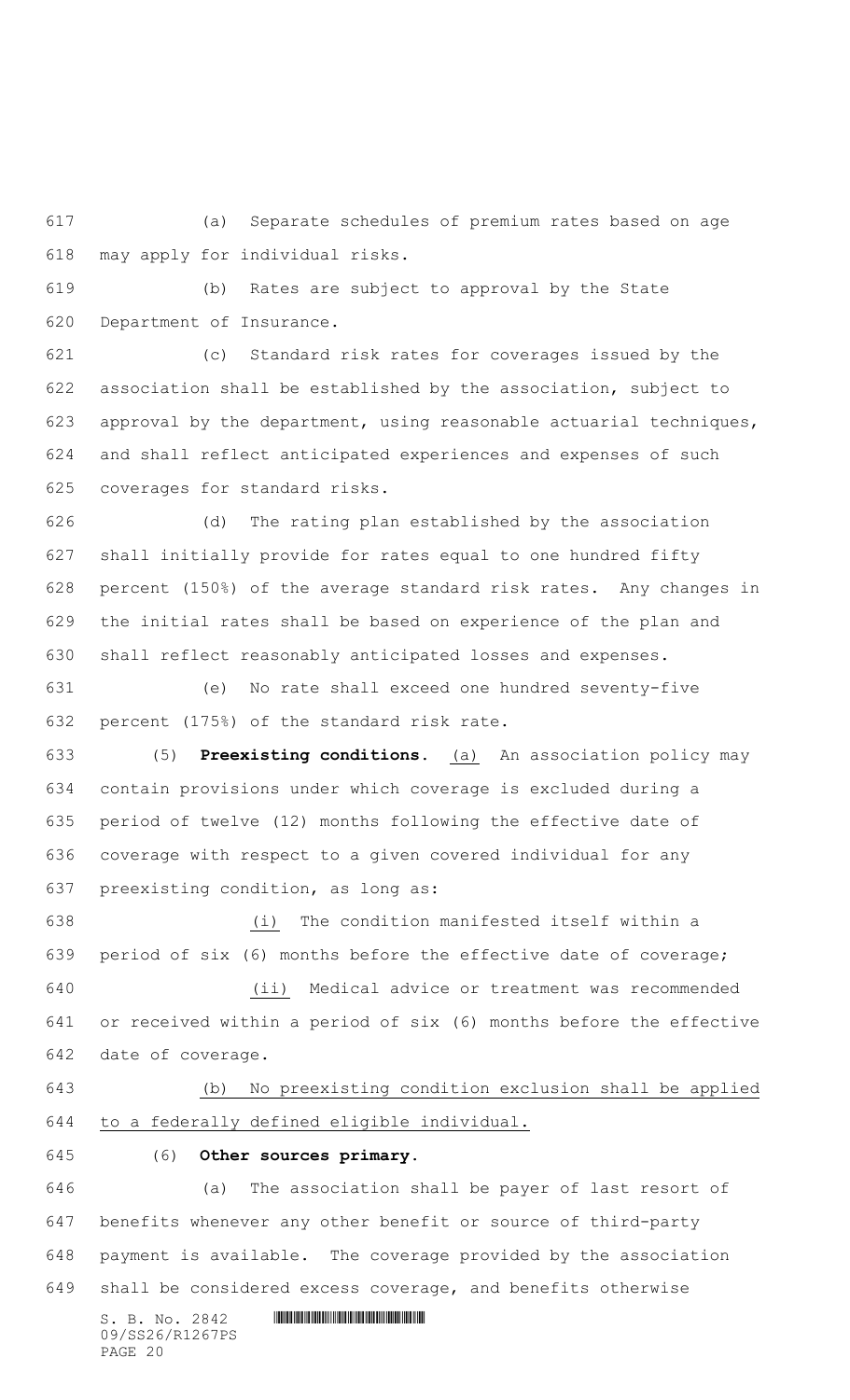(a) Separate schedules of premium rates based on age may apply for individual risks.

 (b) Rates are subject to approval by the State Department of Insurance.

 (c) Standard risk rates for coverages issued by the association shall be established by the association, subject to approval by the department, using reasonable actuarial techniques, and shall reflect anticipated experiences and expenses of such coverages for standard risks.

 (d) The rating plan established by the association shall initially provide for rates equal to one hundred fifty percent (150%) of the average standard risk rates. Any changes in the initial rates shall be based on experience of the plan and shall reflect reasonably anticipated losses and expenses.

 (e) No rate shall exceed one hundred seventy-five percent (175%) of the standard risk rate.

 (5) **Preexisting conditions.** (a) An association policy may contain provisions under which coverage is excluded during a period of twelve (12) months following the effective date of coverage with respect to a given covered individual for any preexisting condition, as long as:

 (i) The condition manifested itself within a period of six (6) months before the effective date of coverage; (ii) Medical advice or treatment was recommended

 or received within a period of six (6) months before the effective date of coverage.

## (b) No preexisting condition exclusion shall be applied

to a federally defined eligible individual.

## (6) **Other sources primary.**

 (a) The association shall be payer of last resort of benefits whenever any other benefit or source of third-party payment is available. The coverage provided by the association shall be considered excess coverage, and benefits otherwise